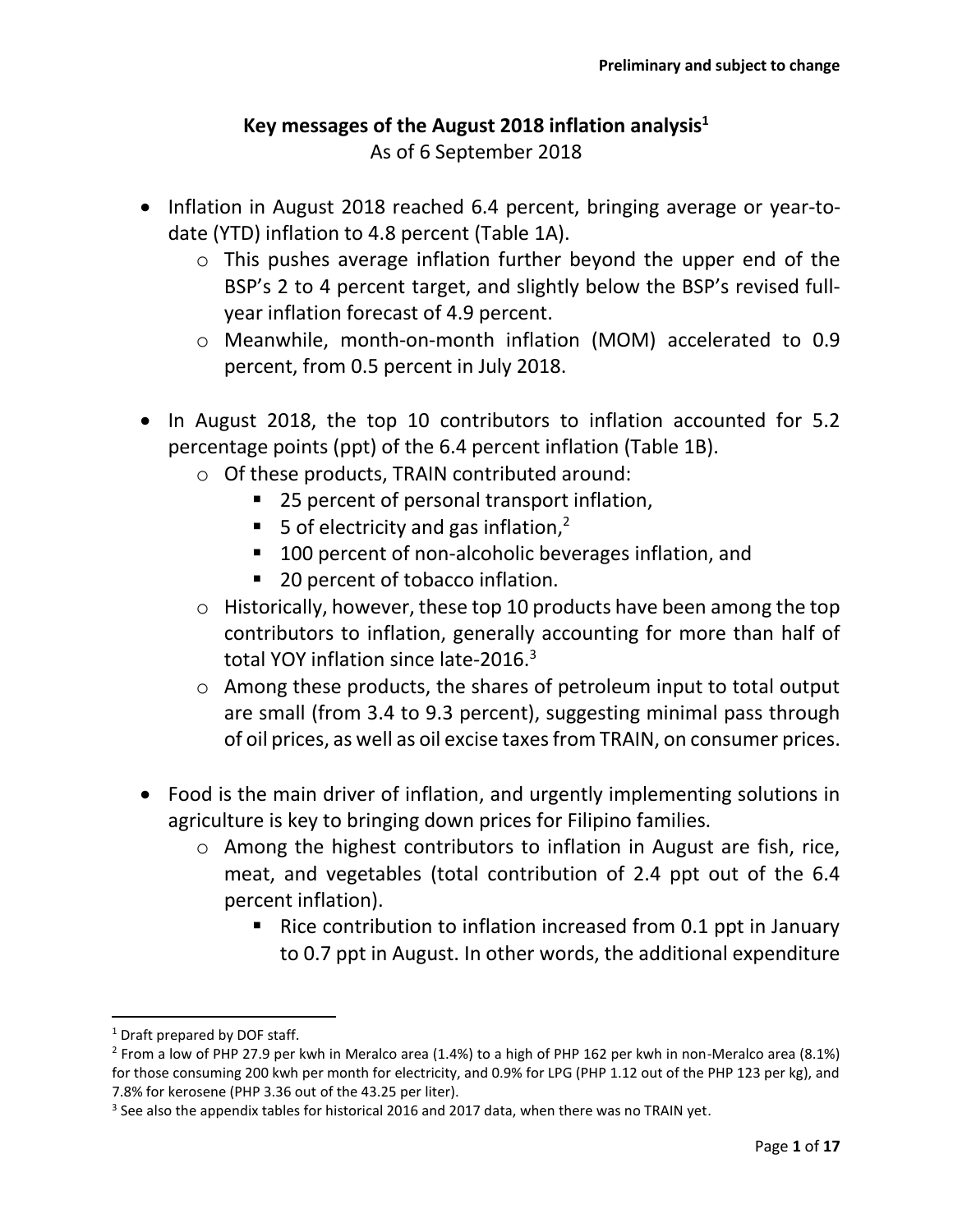#### **Key messages of the August 2018 inflation analysis<sup>1</sup>** As of 6 September 2018

- Inflation in August 2018 reached 6.4 percent, bringing average or year-todate (YTD) inflation to 4.8 percent (Table 1A).
	- o This pushes average inflation further beyond the upper end of the BSP's 2 to 4 percent target, and slightly below the BSP's revised fullyear inflation forecast of 4.9 percent.
	- o Meanwhile, month-on-month inflation (MOM) accelerated to 0.9 percent, from 0.5 percent in July 2018.
- In August 2018, the top 10 contributors to inflation accounted for 5.2 percentage points (ppt) of the 6.4 percent inflation (Table 1B).
	- o Of these products, TRAIN contributed around:
		- 25 percent of personal transport inflation,
		- 5 of electricity and gas inflation, $<sup>2</sup>$ </sup>
		- 100 percent of non-alcoholic beverages inflation, and
		- 20 percent of tobacco inflation.
	- o Historically, however, these top 10 products have been among the top contributors to inflation, generally accounting for more than half of total YOY inflation since late-2016.<sup>3</sup>
	- o Among these products, the shares of petroleum input to total output are small (from 3.4 to 9.3 percent), suggesting minimal pass through of oil prices, as well as oil excise taxes from TRAIN, on consumer prices.
- Food is the main driver of inflation, and urgently implementing solutions in agriculture is key to bringing down prices for Filipino families.
	- o Among the highest contributors to inflation in August are fish, rice, meat, and vegetables (total contribution of 2.4 ppt out of the 6.4 percent inflation).
		- Rice contribution to inflation increased from 0.1 ppt in January to 0.7 ppt in August. In other words, the additional expenditure

 $\overline{\phantom{a}}$ 

<sup>&</sup>lt;sup>1</sup> Draft prepared by DOF staff.

<sup>&</sup>lt;sup>2</sup> From a low of PHP 27.9 per kwh in Meralco area (1.4%) to a high of PHP 162 per kwh in non-Meralco area (8.1%) for those consuming 200 kwh per month for electricity, and 0.9% for LPG (PHP 1.12 out of the PHP 123 per kg), and 7.8% for kerosene (PHP 3.36 out of the 43.25 per liter).

 $3$  See also the appendix tables for historical 2016 and 2017 data, when there was no TRAIN yet.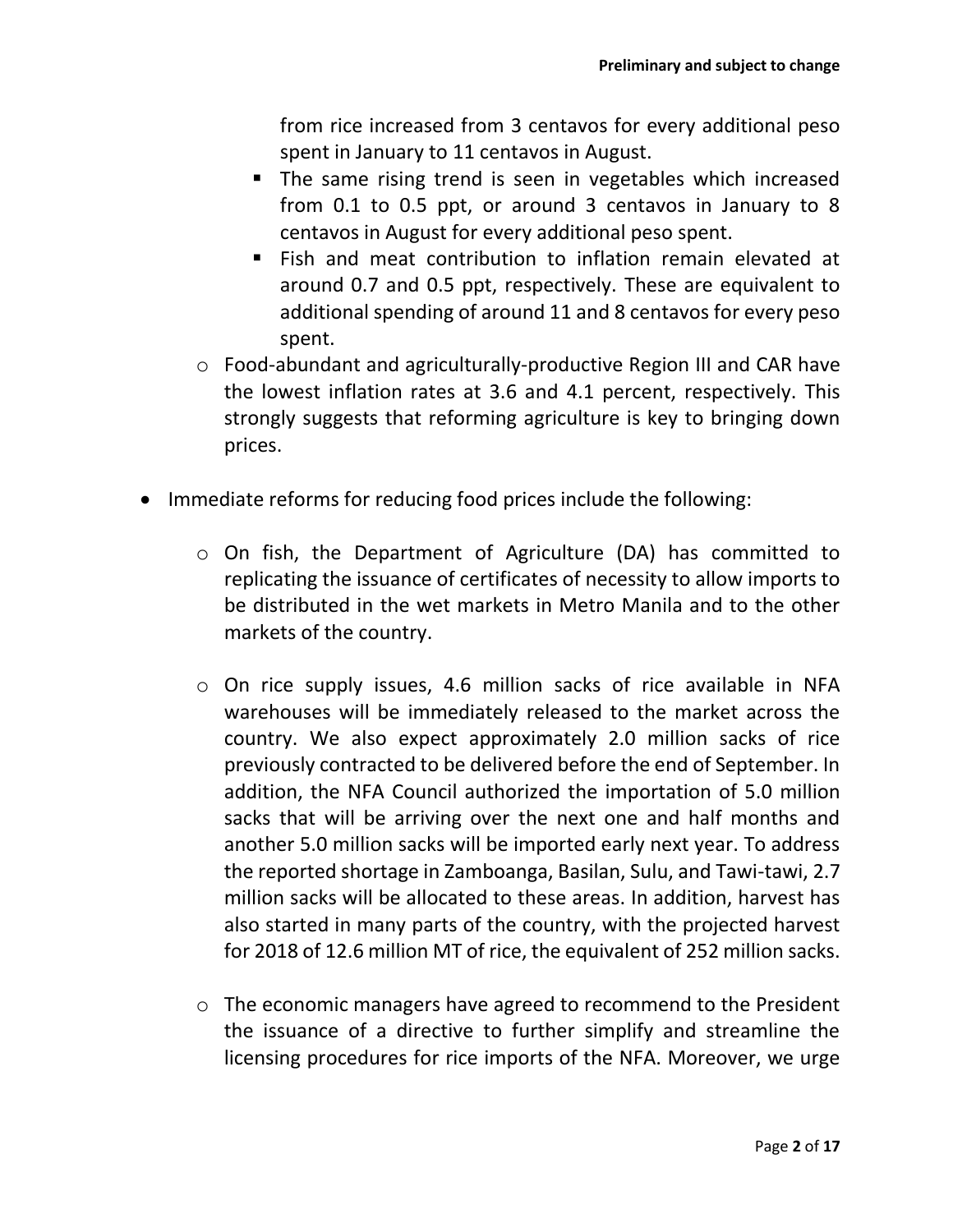from rice increased from 3 centavos for every additional peso spent in January to 11 centavos in August.

- The same rising trend is seen in vegetables which increased from 0.1 to 0.5 ppt, or around 3 centavos in January to 8 centavos in August for every additional peso spent.
- Fish and meat contribution to inflation remain elevated at around 0.7 and 0.5 ppt, respectively. These are equivalent to additional spending of around 11 and 8 centavos for every peso spent.
- o Food-abundant and agriculturally-productive Region III and CAR have the lowest inflation rates at 3.6 and 4.1 percent, respectively. This strongly suggests that reforming agriculture is key to bringing down prices.
- Immediate reforms for reducing food prices include the following:
	- o On fish, the Department of Agriculture (DA) has committed to replicating the issuance of certificates of necessity to allow imports to be distributed in the wet markets in Metro Manila and to the other markets of the country.
	- o On rice supply issues, 4.6 million sacks of rice available in NFA warehouses will be immediately released to the market across the country. We also expect approximately 2.0 million sacks of rice previously contracted to be delivered before the end of September. In addition, the NFA Council authorized the importation of 5.0 million sacks that will be arriving over the next one and half months and another 5.0 million sacks will be imported early next year. To address the reported shortage in Zamboanga, Basilan, Sulu, and Tawi-tawi, 2.7 million sacks will be allocated to these areas. In addition, harvest has also started in many parts of the country, with the projected harvest for 2018 of 12.6 million MT of rice, the equivalent of 252 million sacks.
	- o The economic managers have agreed to recommend to the President the issuance of a directive to further simplify and streamline the licensing procedures for rice imports of the NFA. Moreover, we urge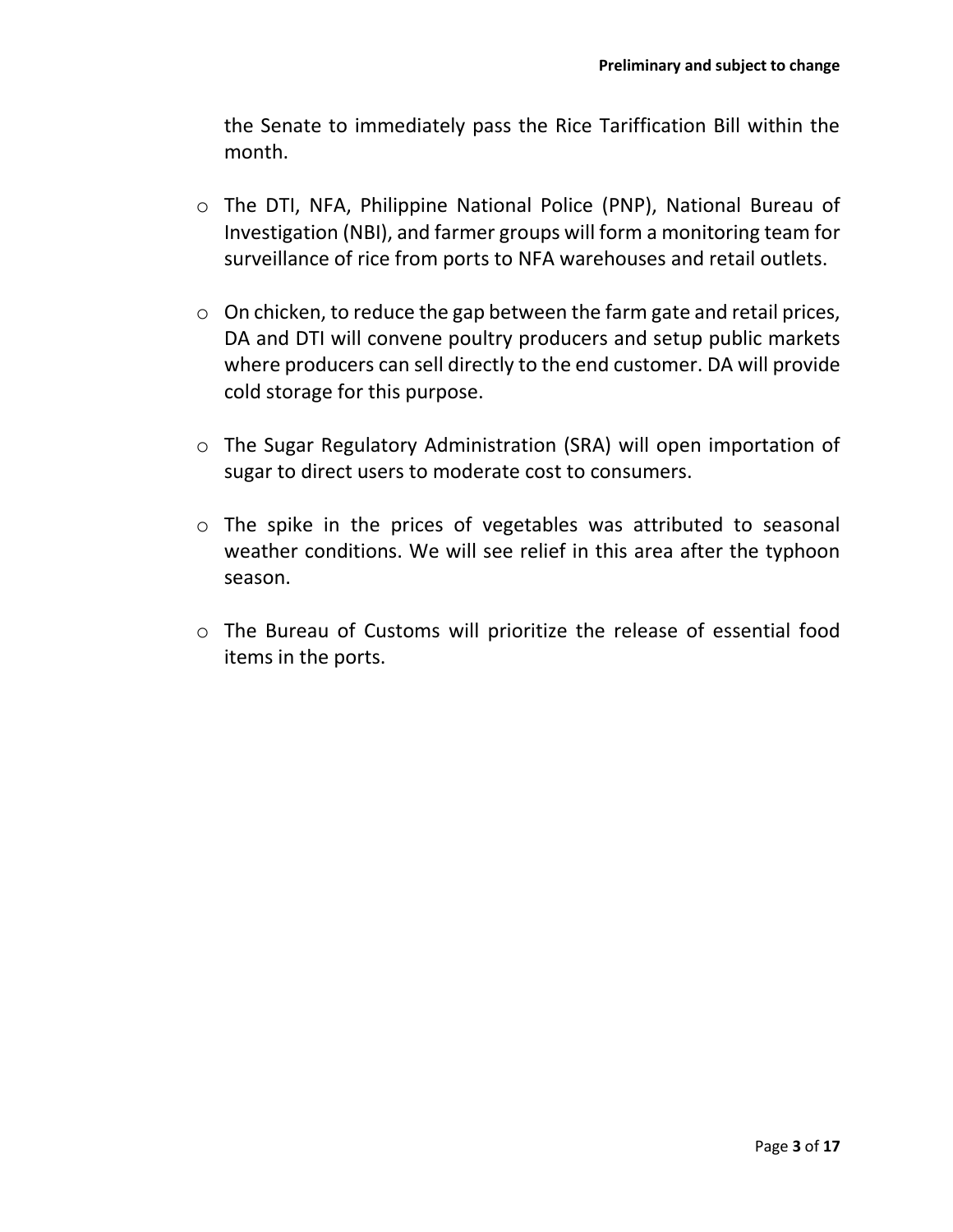the Senate to immediately pass the Rice Tariffication Bill within the month.

- o The DTI, NFA, Philippine National Police (PNP), National Bureau of Investigation (NBI), and farmer groups will form a monitoring team for surveillance of rice from ports to NFA warehouses and retail outlets.
- o On chicken, to reduce the gap between the farm gate and retail prices, DA and DTI will convene poultry producers and setup public markets where producers can sell directly to the end customer. DA will provide cold storage for this purpose.
- o The Sugar Regulatory Administration (SRA) will open importation of sugar to direct users to moderate cost to consumers.
- o The spike in the prices of vegetables was attributed to seasonal weather conditions. We will see relief in this area after the typhoon season.
- o The Bureau of Customs will prioritize the release of essential food items in the ports.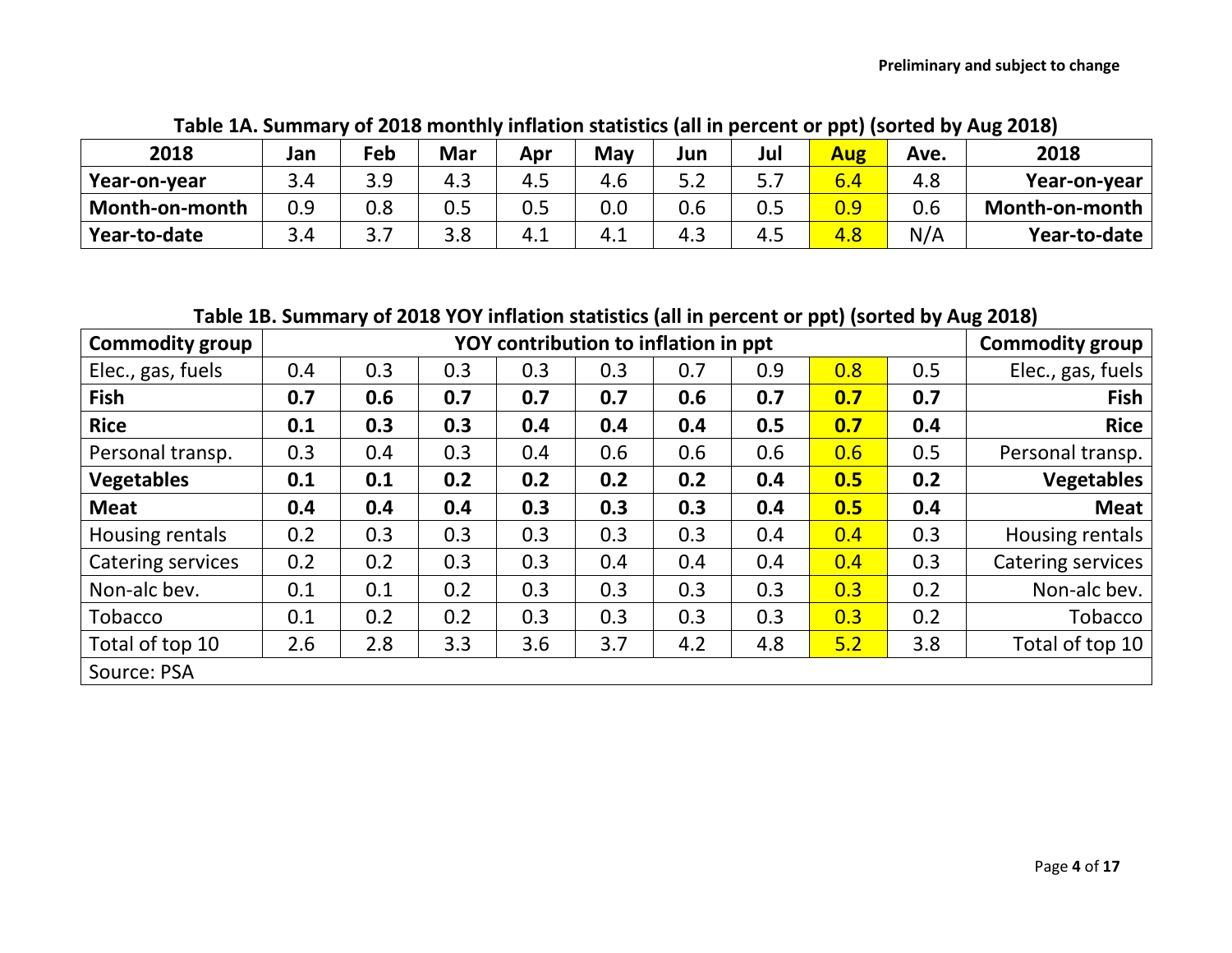| 2018           | Jan | Feb     | Mar | Apr | May | Jun   | Jul   | <b>Aug</b> | Ave. | 2018               |
|----------------|-----|---------|-----|-----|-----|-------|-------|------------|------|--------------------|
| Year-on-year   |     | ם ב<br> | 4.3 | 4.5 | 4.6 | J.Z   | ر . د | $6.4\,$    | 4.8  | Year-on-year       |
| Month-on-month |     | 0.8     | 0.5 | 0.5 | 0.0 |       | 0.5   | 0.9        | 0.6  | Month-on-month $ $ |
| Year-to-date   | 3 A | J.,     | ၁.၀ | 4.1 | 4.1 | - 4.∟ | 4.5   | 4.8        | N/A  | Year-to-date       |

**Table 1A. Summary of 2018 monthly inflation statistics (all in percent or ppt) (sorted by Aug 2018)**

**Table 1B. Summary of 2018 YOY inflation statistics (all in percent or ppt) (sorted by Aug 2018)**

| <b>Commodity group</b> |     |     |     | <b>Commodity group</b> |     |     |     |     |     |                   |
|------------------------|-----|-----|-----|------------------------|-----|-----|-----|-----|-----|-------------------|
| Elec., gas, fuels      | 0.4 | 0.3 | 0.3 | 0.3                    | 0.3 | 0.7 | 0.9 | 0.8 | 0.5 | Elec., gas, fuels |
| <b>Fish</b>            | 0.7 | 0.6 | 0.7 | 0.7                    | 0.7 | 0.6 | 0.7 | 0.7 | 0.7 | <b>Fish</b>       |
| <b>Rice</b>            | 0.1 | 0.3 | 0.3 | 0.4                    | 0.4 | 0.4 | 0.5 | 0.7 | 0.4 | <b>Rice</b>       |
| Personal transp.       | 0.3 | 0.4 | 0.3 | 0.4                    | 0.6 | 0.6 | 0.6 | 0.6 | 0.5 | Personal transp.  |
| <b>Vegetables</b>      | 0.1 | 0.1 | 0.2 | 0.2                    | 0.2 | 0.2 | 0.4 | 0.5 | 0.2 | <b>Vegetables</b> |
| <b>Meat</b>            | 0.4 | 0.4 | 0.4 | 0.3                    | 0.3 | 0.3 | 0.4 | 0.5 | 0.4 | <b>Meat</b>       |
| Housing rentals        | 0.2 | 0.3 | 0.3 | 0.3                    | 0.3 | 0.3 | 0.4 | 0.4 | 0.3 | Housing rentals   |
| Catering services      | 0.2 | 0.2 | 0.3 | 0.3                    | 0.4 | 0.4 | 0.4 | 0.4 | 0.3 | Catering services |
| Non-alc bev.           | 0.1 | 0.1 | 0.2 | 0.3                    | 0.3 | 0.3 | 0.3 | 0.3 | 0.2 | Non-alc bev.      |
| <b>Tobacco</b>         | 0.1 | 0.2 | 0.2 | 0.3                    | 0.3 | 0.3 | 0.3 | 0.3 | 0.2 | Tobacco           |
| Total of top 10        | 2.6 | 2.8 | 3.3 | 3.6                    | 3.7 | 4.2 | 4.8 | 5.2 | 3.8 | Total of top 10   |
| Source: PSA            |     |     |     |                        |     |     |     |     |     |                   |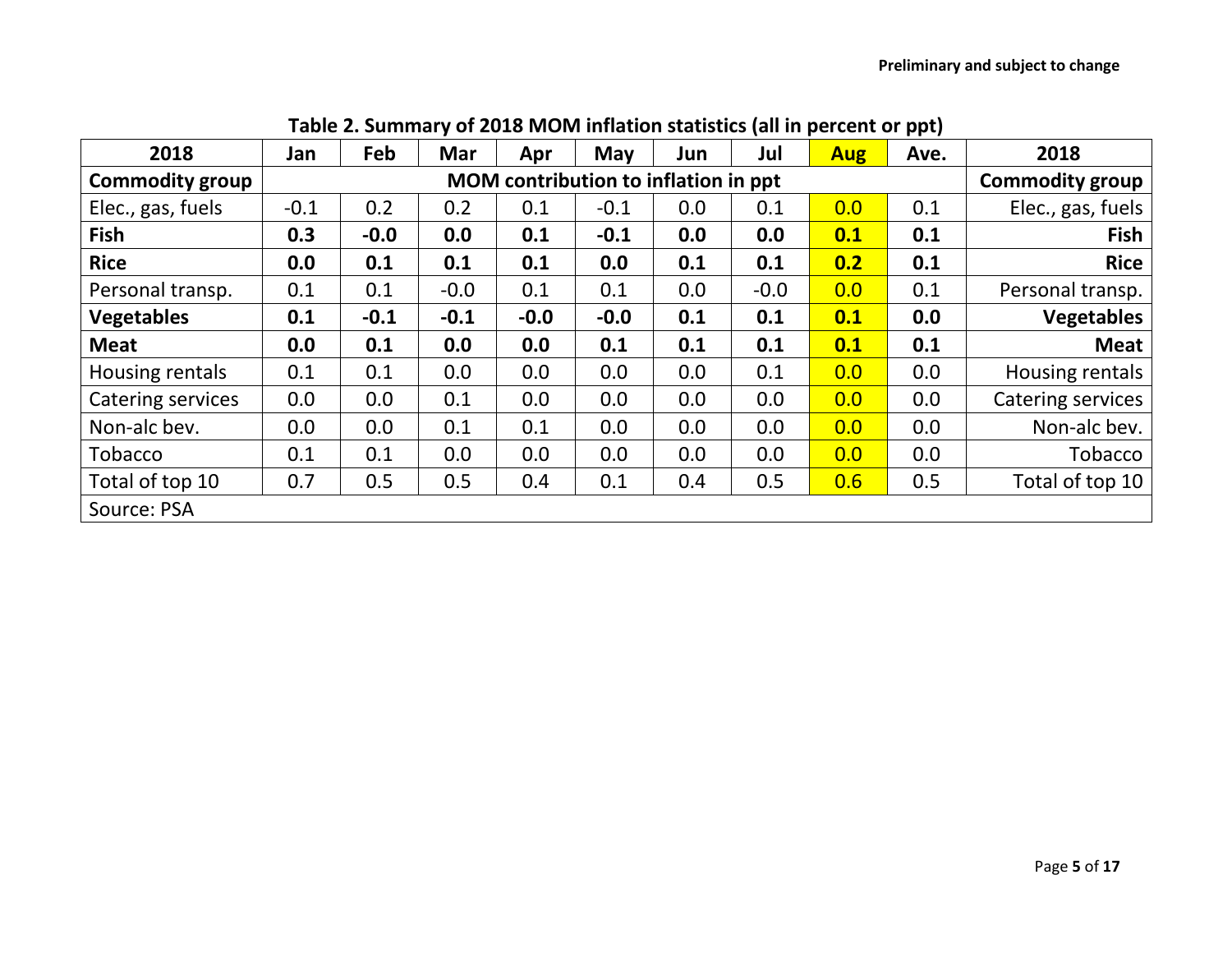| 2018                     | Jan    | Feb    | Mar    | Apr    | May                                  | Jun | Jul    | <b>Aug</b> | Ave. | 2018                   |
|--------------------------|--------|--------|--------|--------|--------------------------------------|-----|--------|------------|------|------------------------|
| <b>Commodity group</b>   |        |        |        |        | MOM contribution to inflation in ppt |     |        |            |      | <b>Commodity group</b> |
| Elec., gas, fuels        | $-0.1$ | 0.2    | 0.2    | 0.1    | $-0.1$                               | 0.0 | 0.1    | 0.0        | 0.1  | Elec., gas, fuels      |
| <b>Fish</b>              | 0.3    | $-0.0$ | 0.0    | 0.1    | $-0.1$                               | 0.0 | 0.0    | 0.1        | 0.1  | <b>Fish</b>            |
| <b>Rice</b>              | 0.0    | 0.1    | 0.1    | 0.1    | 0.0                                  | 0.1 | 0.1    | 0.2        | 0.1  | <b>Rice</b>            |
| Personal transp.         | 0.1    | 0.1    | $-0.0$ | 0.1    | 0.1                                  | 0.0 | $-0.0$ | 0.0        | 0.1  | Personal transp.       |
| <b>Vegetables</b>        | 0.1    | $-0.1$ | $-0.1$ | $-0.0$ | $-0.0$                               | 0.1 | 0.1    | 0.1        | 0.0  | <b>Vegetables</b>      |
| <b>Meat</b>              | 0.0    | 0.1    | 0.0    | 0.0    | 0.1                                  | 0.1 | 0.1    | 0.1        | 0.1  | <b>Meat</b>            |
| Housing rentals          | 0.1    | 0.1    | 0.0    | 0.0    | 0.0                                  | 0.0 | 0.1    | 0.0        | 0.0  | Housing rentals        |
| <b>Catering services</b> | 0.0    | 0.0    | 0.1    | 0.0    | 0.0                                  | 0.0 | 0.0    | 0.0        | 0.0  | Catering services      |
| Non-alc bev.             | 0.0    | 0.0    | 0.1    | 0.1    | 0.0                                  | 0.0 | 0.0    | 0.0        | 0.0  | Non-alc bev.           |
| <b>Tobacco</b>           | 0.1    | 0.1    | 0.0    | 0.0    | 0.0                                  | 0.0 | 0.0    | 0.0        | 0.0  | Tobacco                |
| Total of top 10          | 0.7    | 0.5    | 0.5    | 0.4    | 0.1                                  | 0.4 | 0.5    | 0.6        | 0.5  | Total of top 10        |
| Source: PSA              |        |        |        |        |                                      |     |        |            |      |                        |

# **Table 2. Summary of 2018 MOM inflation statistics (all in percent or ppt)**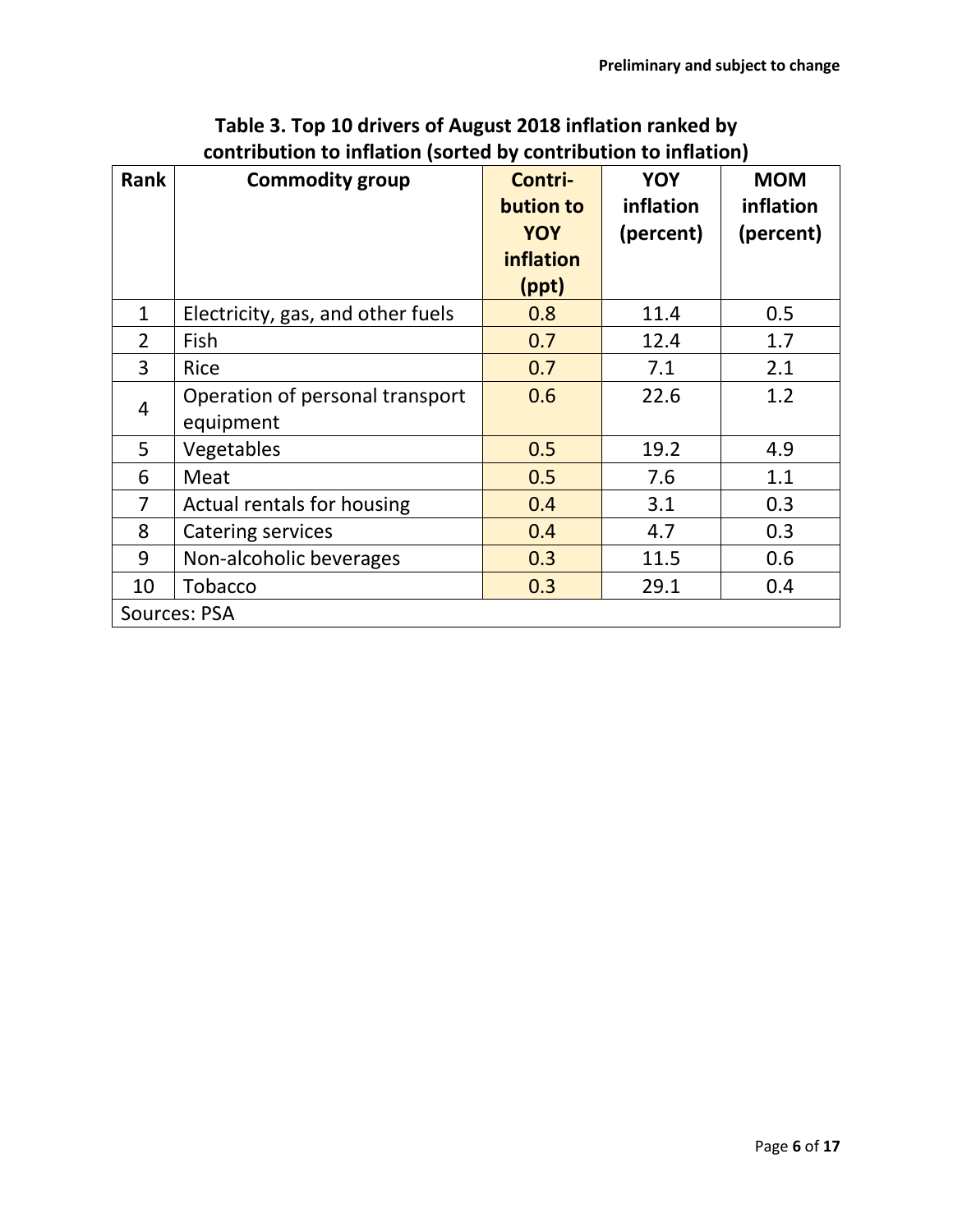| <b>Rank</b>    | <b>Commodity group</b>            | Contri-<br>bution to    | <b>YOY</b><br>inflation | <b>MOM</b><br>inflation |
|----------------|-----------------------------------|-------------------------|-------------------------|-------------------------|
|                |                                   | <b>YOY</b><br>inflation | (percent)               | (percent)               |
|                |                                   | (ppt)                   |                         |                         |
| $\mathbf{1}$   | Electricity, gas, and other fuels | 0.8                     | 11.4                    | 0.5                     |
| $\overline{2}$ | Fish                              | 0.7                     | 12.4                    | 1.7                     |
| 3              | Rice                              | 0.7                     | 7.1                     | 2.1                     |
| $\overline{4}$ | Operation of personal transport   | 0.6                     | 22.6                    | 1.2                     |
|                | equipment                         |                         |                         |                         |
| 5              | Vegetables                        | 0.5                     | 19.2                    | 4.9                     |
| 6              | Meat                              | 0.5                     | 7.6                     | 1.1                     |
| 7              | Actual rentals for housing        | 0.4                     | 3.1                     | 0.3                     |
| 8              | <b>Catering services</b>          | 0.4                     | 4.7                     | 0.3                     |
| 9              | Non-alcoholic beverages           | 0.3                     | 11.5                    | 0.6                     |
| 10             | Tobacco                           | 0.3                     | 29.1                    | 0.4                     |
|                | Sources: PSA                      |                         |                         |                         |

## **Table 3. Top 10 drivers of August 2018 inflation ranked by contribution to inflation (sorted by contribution to inflation)**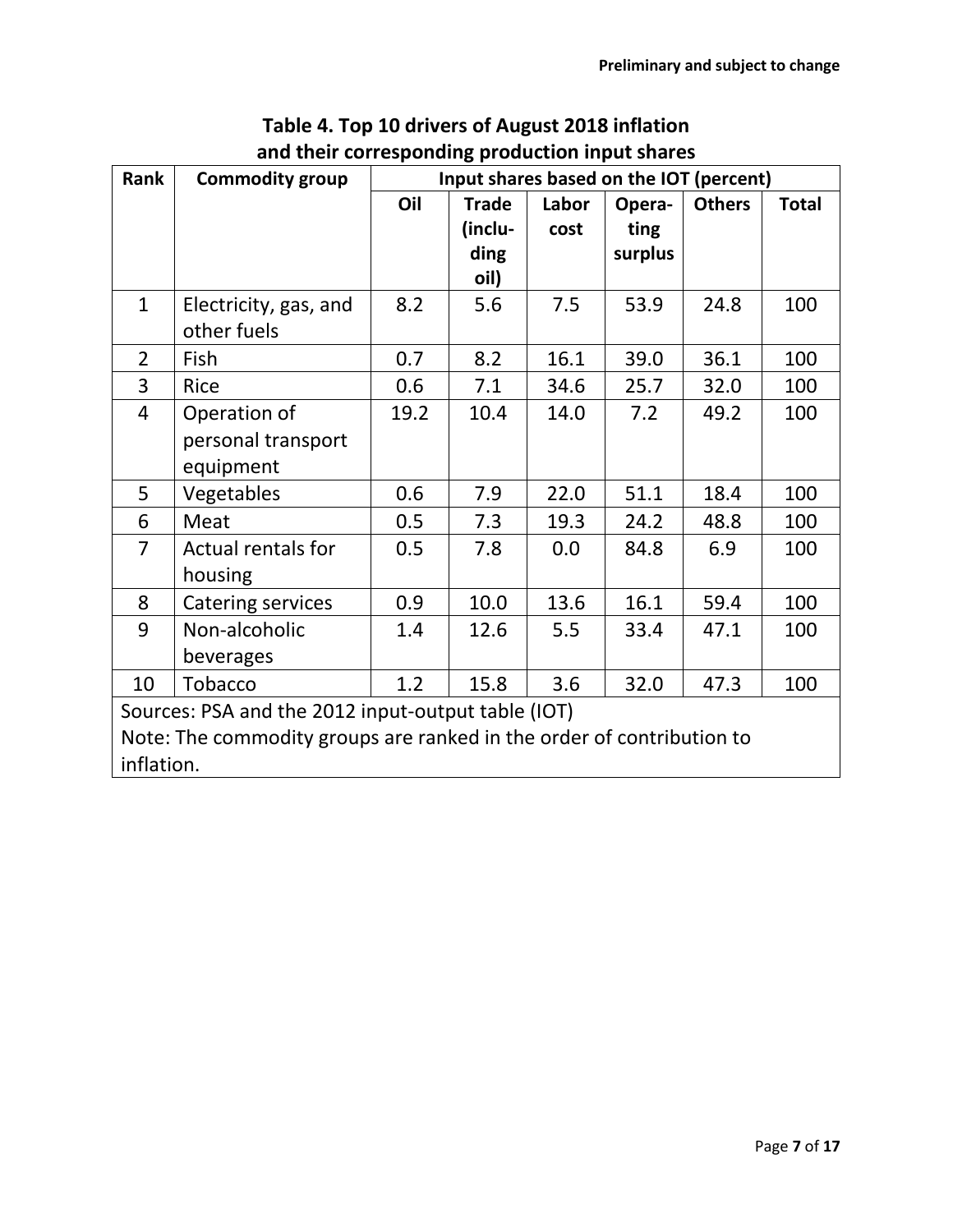| Rank                                                                  | <b>Commodity group</b>   | Input shares based on the IOT (percent) |              |       |         |               |              |  |  |  |  |  |
|-----------------------------------------------------------------------|--------------------------|-----------------------------------------|--------------|-------|---------|---------------|--------------|--|--|--|--|--|
|                                                                       |                          | Oil                                     | <b>Trade</b> | Labor | Opera-  | <b>Others</b> | <b>Total</b> |  |  |  |  |  |
|                                                                       |                          |                                         | (inclu-      | cost  | ting    |               |              |  |  |  |  |  |
|                                                                       |                          |                                         | ding         |       | surplus |               |              |  |  |  |  |  |
|                                                                       |                          |                                         | oil)         |       |         |               |              |  |  |  |  |  |
| $\mathbf{1}$                                                          | Electricity, gas, and    | 8.2                                     | 5.6          | 7.5   | 53.9    | 24.8          | 100          |  |  |  |  |  |
|                                                                       | other fuels              |                                         |              |       |         |               |              |  |  |  |  |  |
| $\overline{2}$                                                        | Fish                     | 0.7                                     | 8.2          | 16.1  | 39.0    | 36.1          | 100          |  |  |  |  |  |
| $\overline{3}$                                                        | <b>Rice</b>              | 0.6                                     | 7.1          | 34.6  | 25.7    | 32.0          | 100          |  |  |  |  |  |
| $\overline{4}$                                                        | Operation of             | 19.2                                    | 10.4         | 14.0  | 7.2     | 49.2          | 100          |  |  |  |  |  |
|                                                                       | personal transport       |                                         |              |       |         |               |              |  |  |  |  |  |
|                                                                       | equipment                |                                         |              |       |         |               |              |  |  |  |  |  |
| 5                                                                     | Vegetables               | 0.6                                     | 7.9          | 22.0  | 51.1    | 18.4          | 100          |  |  |  |  |  |
| 6                                                                     | Meat                     | 0.5                                     | 7.3          | 19.3  | 24.2    | 48.8          | 100          |  |  |  |  |  |
| $\overline{7}$                                                        | Actual rentals for       | 0.5                                     | 7.8          | 0.0   | 84.8    | 6.9           | 100          |  |  |  |  |  |
|                                                                       | housing                  |                                         |              |       |         |               |              |  |  |  |  |  |
| 8                                                                     | <b>Catering services</b> | 0.9                                     | 10.0         | 13.6  | 16.1    | 59.4          | 100          |  |  |  |  |  |
| 9                                                                     | Non-alcoholic            | 1.4                                     | 12.6         | 5.5   | 33.4    | 47.1          | 100          |  |  |  |  |  |
|                                                                       | beverages                |                                         |              |       |         |               |              |  |  |  |  |  |
| Tobacco<br>15.8<br>1.2<br>3.6<br>32.0<br>47.3<br>100<br>10            |                          |                                         |              |       |         |               |              |  |  |  |  |  |
| Sources: PSA and the 2012 input-output table (IOT)                    |                          |                                         |              |       |         |               |              |  |  |  |  |  |
| Note: The commodity groups are ranked in the order of contribution to |                          |                                         |              |       |         |               |              |  |  |  |  |  |
| inflation.                                                            |                          |                                         |              |       |         |               |              |  |  |  |  |  |

### **Table 4. Top 10 drivers of August 2018 inflation and their corresponding production input shares**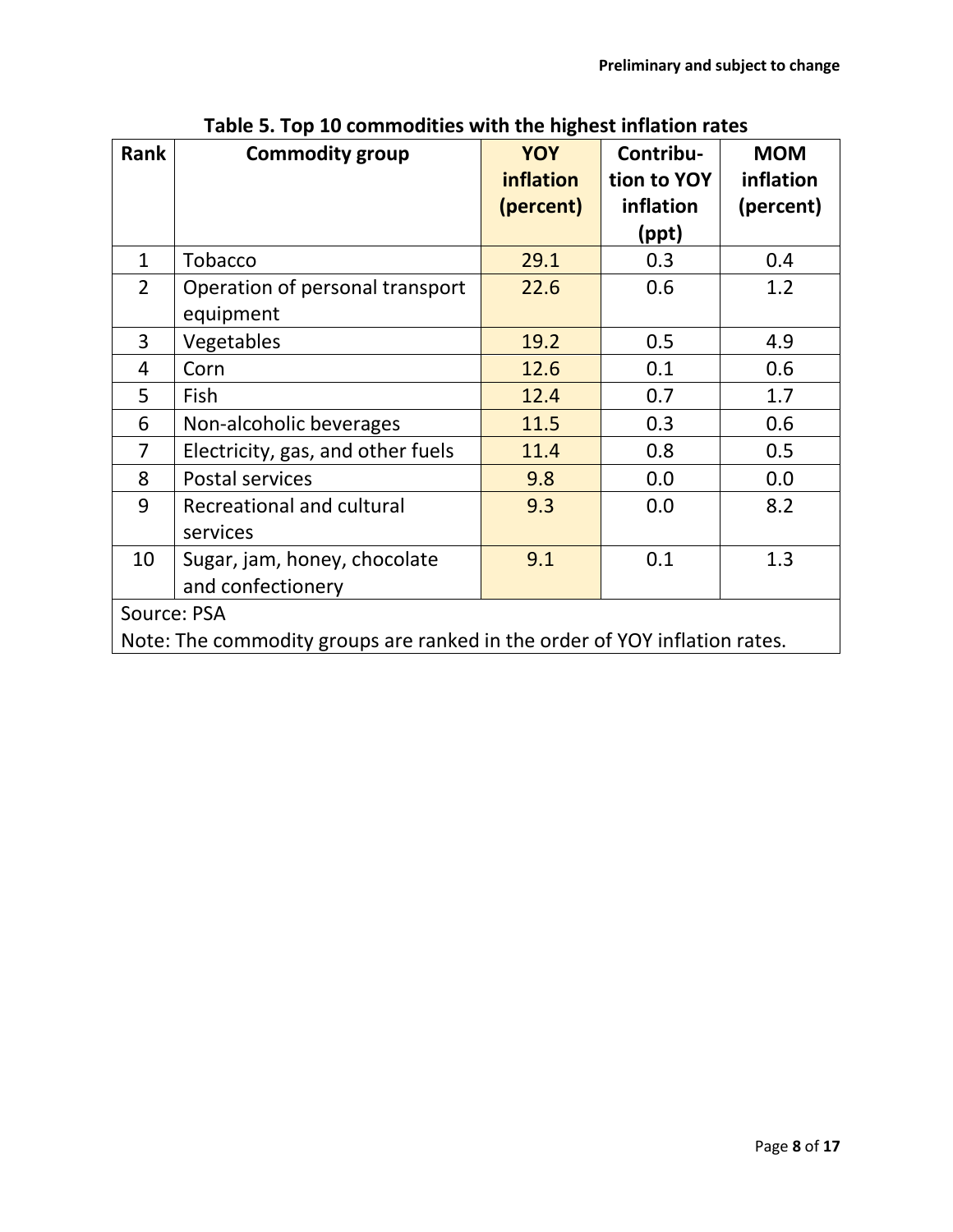| <b>Rank</b>       | <b>Commodity group</b>                                                     | <b>YOY</b> | Contribu-   | <b>MOM</b> |  |  |  |  |  |  |
|-------------------|----------------------------------------------------------------------------|------------|-------------|------------|--|--|--|--|--|--|
|                   |                                                                            | inflation  | tion to YOY | inflation  |  |  |  |  |  |  |
|                   |                                                                            | (percent)  | inflation   | (percent)  |  |  |  |  |  |  |
|                   |                                                                            |            | (ppt)       |            |  |  |  |  |  |  |
| $\mathbf 1$       | Tobacco                                                                    | 29.1       | 0.3         | 0.4        |  |  |  |  |  |  |
| $\overline{2}$    | Operation of personal transport                                            | 22.6       | 0.6         | 1.2        |  |  |  |  |  |  |
|                   | equipment                                                                  |            |             |            |  |  |  |  |  |  |
| 3                 | Vegetables                                                                 | 19.2       | 0.5         | 4.9        |  |  |  |  |  |  |
| $\overline{4}$    | Corn                                                                       | 12.6       | 0.1         | 0.6        |  |  |  |  |  |  |
| 5                 | Fish                                                                       | 12.4       | 0.7         | 1.7        |  |  |  |  |  |  |
| 6                 | Non-alcoholic beverages                                                    | 11.5       | 0.3         | 0.6        |  |  |  |  |  |  |
| 7                 | Electricity, gas, and other fuels                                          | 11.4       | 0.8         | 0.5        |  |  |  |  |  |  |
| 8                 | Postal services                                                            | 9.8        | 0.0         | 0.0        |  |  |  |  |  |  |
| 9                 | Recreational and cultural                                                  | 9.3        | 0.0         | 8.2        |  |  |  |  |  |  |
|                   | services                                                                   |            |             |            |  |  |  |  |  |  |
| 10                | Sugar, jam, honey, chocolate                                               | 9.1        | 0.1         | 1.3        |  |  |  |  |  |  |
| and confectionery |                                                                            |            |             |            |  |  |  |  |  |  |
| Source: PSA       |                                                                            |            |             |            |  |  |  |  |  |  |
|                   | Note: The commodity groups are ranked in the order of YOY inflation rates. |            |             |            |  |  |  |  |  |  |

**Table 5. Top 10 commodities with the highest inflation rates**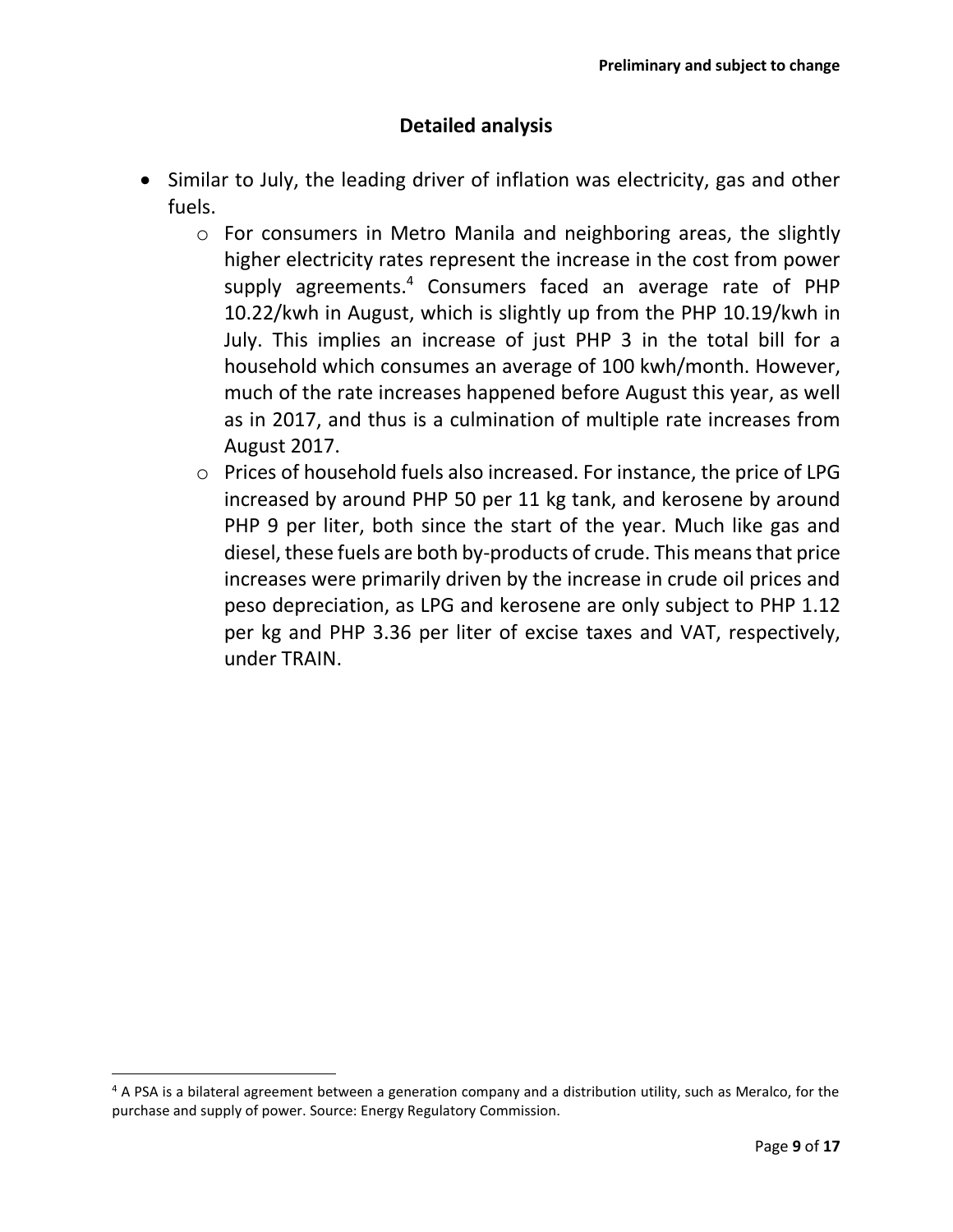#### **Detailed analysis**

- Similar to July, the leading driver of inflation was electricity, gas and other fuels.
	- o For consumers in Metro Manila and neighboring areas, the slightly higher electricity rates represent the increase in the cost from power supply agreements. <sup>4</sup> Consumers faced an average rate of PHP 10.22/kwh in August, which is slightly up from the PHP 10.19/kwh in July. This implies an increase of just PHP 3 in the total bill for a household which consumes an average of 100 kwh/month. However, much of the rate increases happened before August this year, as well as in 2017, and thus is a culmination of multiple rate increases from August 2017.
	- o Prices of household fuels also increased. For instance, the price of LPG increased by around PHP 50 per 11 kg tank, and kerosene by around PHP 9 per liter, both since the start of the year. Much like gas and diesel, these fuels are both by-products of crude. This means that price increases were primarily driven by the increase in crude oil prices and peso depreciation, as LPG and kerosene are only subject to PHP 1.12 per kg and PHP 3.36 per liter of excise taxes and VAT, respectively, under TRAIN.

 $\overline{\phantom{a}}$ 

 $4$  A PSA is a bilateral agreement between a generation company and a distribution utility, such as Meralco, for the purchase and supply of power. Source: Energy Regulatory Commission.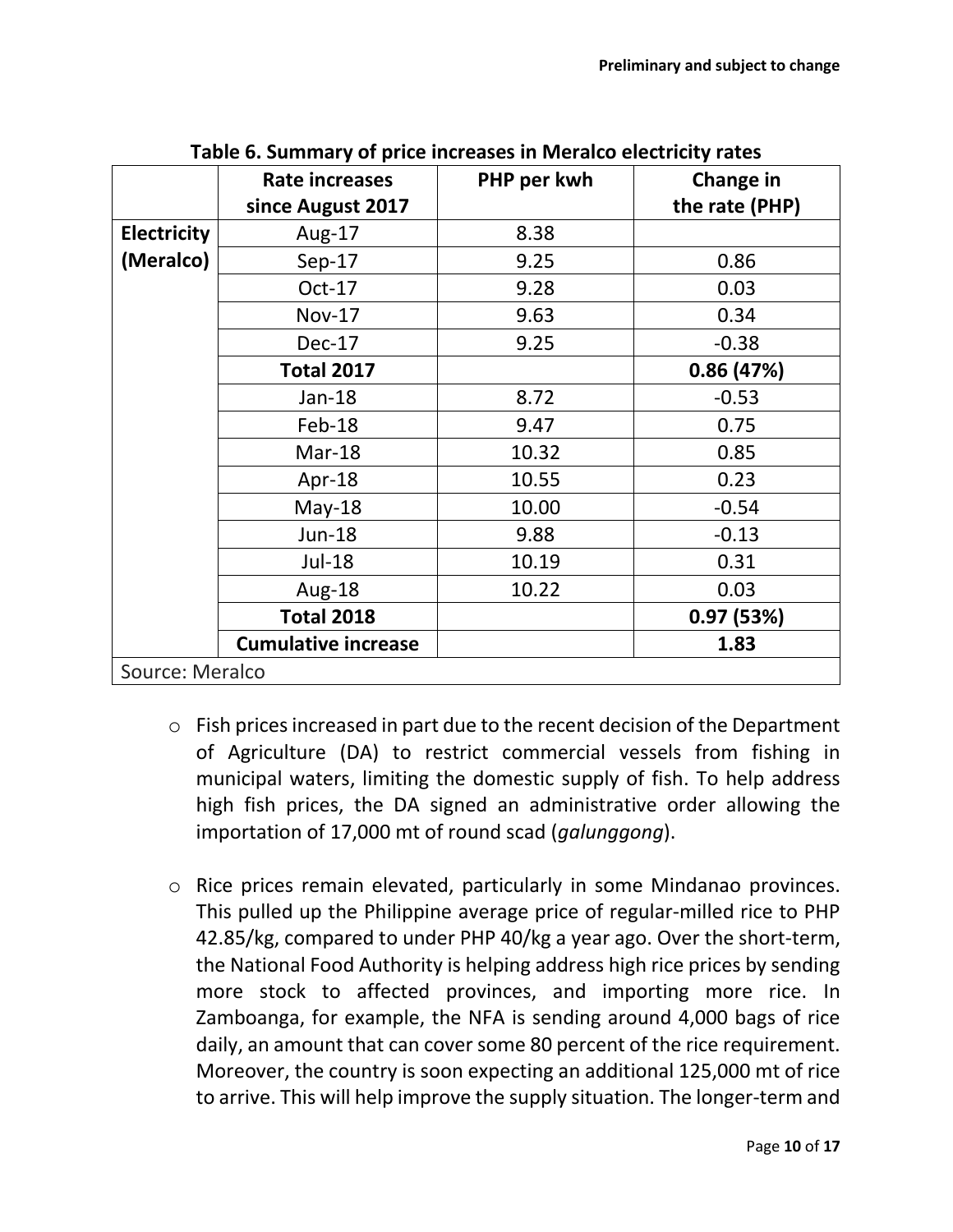|                    | Rate increases             | PHP per kwh | Change in      |
|--------------------|----------------------------|-------------|----------------|
|                    | since August 2017          |             | the rate (PHP) |
| <b>Electricity</b> | Aug-17                     | 8.38        |                |
| (Meralco)          | $Sep-17$                   | 9.25        | 0.86           |
|                    | $Oct-17$                   | 9.28        | 0.03           |
|                    | <b>Nov-17</b>              | 9.63        | 0.34           |
|                    | Dec-17                     | 9.25        | $-0.38$        |
|                    | <b>Total 2017</b>          |             | 0.86(47%)      |
|                    | Jan-18                     | 8.72        | $-0.53$        |
|                    | Feb-18                     | 9.47        | 0.75           |
|                    | Mar-18                     | 10.32       | 0.85           |
|                    | Apr-18                     | 10.55       | 0.23           |
|                    | $May-18$                   | 10.00       | $-0.54$        |
|                    | <b>Jun-18</b>              | 9.88        | $-0.13$        |
|                    | Jul-18                     | 10.19       | 0.31           |
|                    | Aug-18                     | 10.22       | 0.03           |
|                    | <b>Total 2018</b>          |             | 0.97(53%)      |
|                    | <b>Cumulative increase</b> |             | 1.83           |
| Source: Meralco    |                            |             |                |

**Table 6. Summary of price increases in Meralco electricity rates**

- o Fish prices increased in part due to the recent decision of the Department of Agriculture (DA) to restrict commercial vessels from fishing in municipal waters, limiting the domestic supply of fish. To help address high fish prices, the DA signed an administrative order allowing the importation of 17,000 mt of round scad (*galunggong*).
- o Rice prices remain elevated, particularly in some Mindanao provinces. This pulled up the Philippine average price of regular-milled rice to PHP 42.85/kg, compared to under PHP 40/kg a year ago. Over the short-term, the National Food Authority is helping address high rice prices by sending more stock to affected provinces, and importing more rice. In Zamboanga, for example, the NFA is sending around 4,000 bags of rice daily, an amount that can cover some 80 percent of the rice requirement. Moreover, the country is soon expecting an additional 125,000 mt of rice to arrive. This will help improve the supply situation. The longer-term and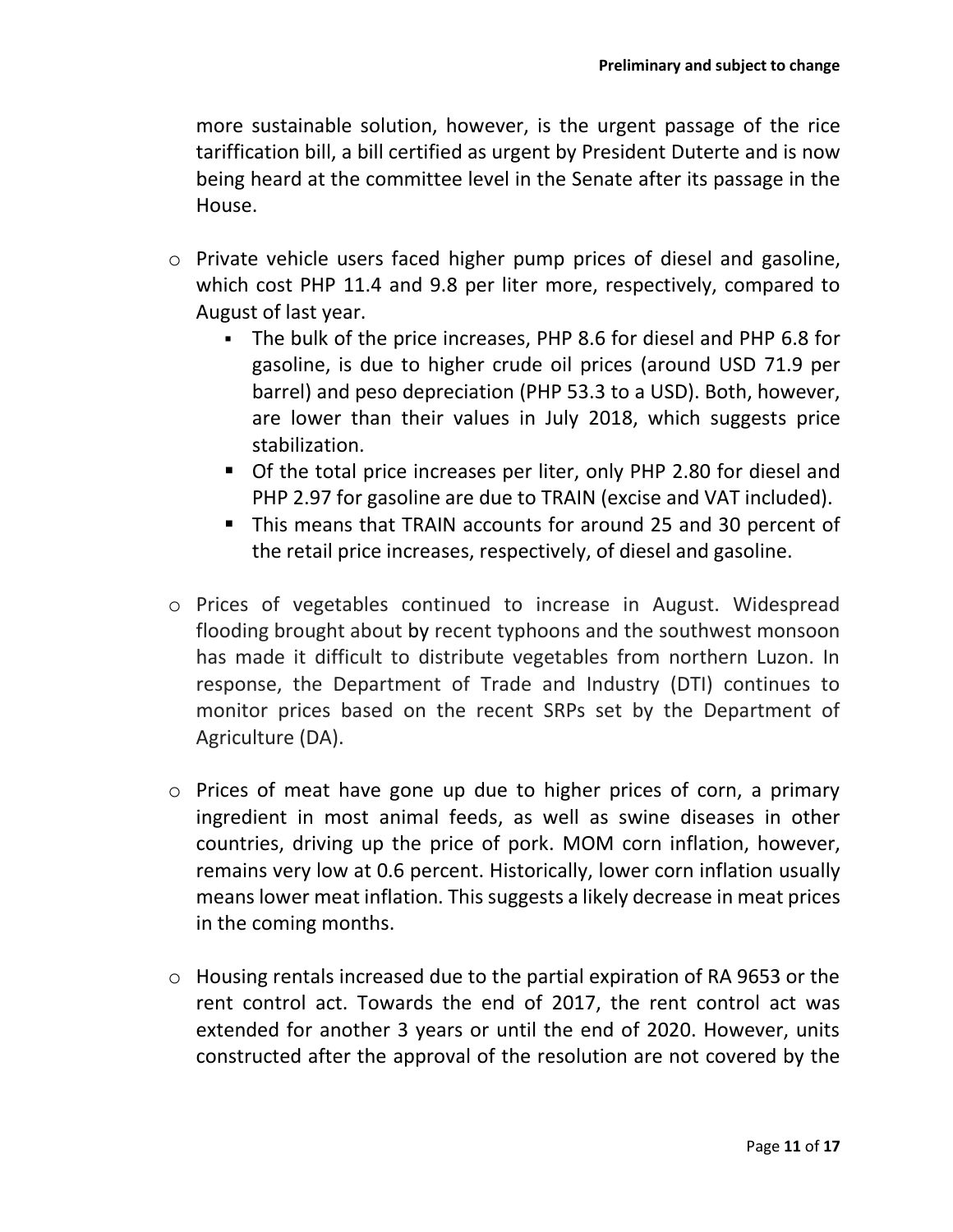more sustainable solution, however, is the urgent passage of the rice tariffication bill, a bill certified as urgent by President Duterte and is now being heard at the committee level in the Senate after its passage in the House.

- o Private vehicle users faced higher pump prices of diesel and gasoline, which cost PHP 11.4 and 9.8 per liter more, respectively, compared to August of last year.
	- The bulk of the price increases, PHP 8.6 for diesel and PHP 6.8 for gasoline, is due to higher crude oil prices (around USD 71.9 per barrel) and peso depreciation (PHP 53.3 to a USD). Both, however, are lower than their values in July 2018, which suggests price stabilization.
	- Of the total price increases per liter, only PHP 2.80 for diesel and PHP 2.97 for gasoline are due to TRAIN (excise and VAT included).
	- This means that TRAIN accounts for around 25 and 30 percent of the retail price increases, respectively, of diesel and gasoline.
- o Prices of vegetables continued to increase in August. Widespread flooding brought about by recent typhoons and the southwest monsoon has made it difficult to distribute vegetables from northern Luzon. In response, the Department of Trade and Industry (DTI) continues to monitor prices based on the recent SRPs set by the Department of Agriculture (DA).
- o Prices of meat have gone up due to higher prices of corn, a primary ingredient in most animal feeds, as well as swine diseases in other countries, driving up the price of pork. MOM corn inflation, however, remains very low at 0.6 percent. Historically, lower corn inflation usually means lower meat inflation. This suggests a likely decrease in meat prices in the coming months.
- o Housing rentals increased due to the partial expiration of RA 9653 or the rent control act. Towards the end of 2017, the rent control act was extended for another 3 years or until the end of 2020. However, units constructed after the approval of the resolution are not covered by the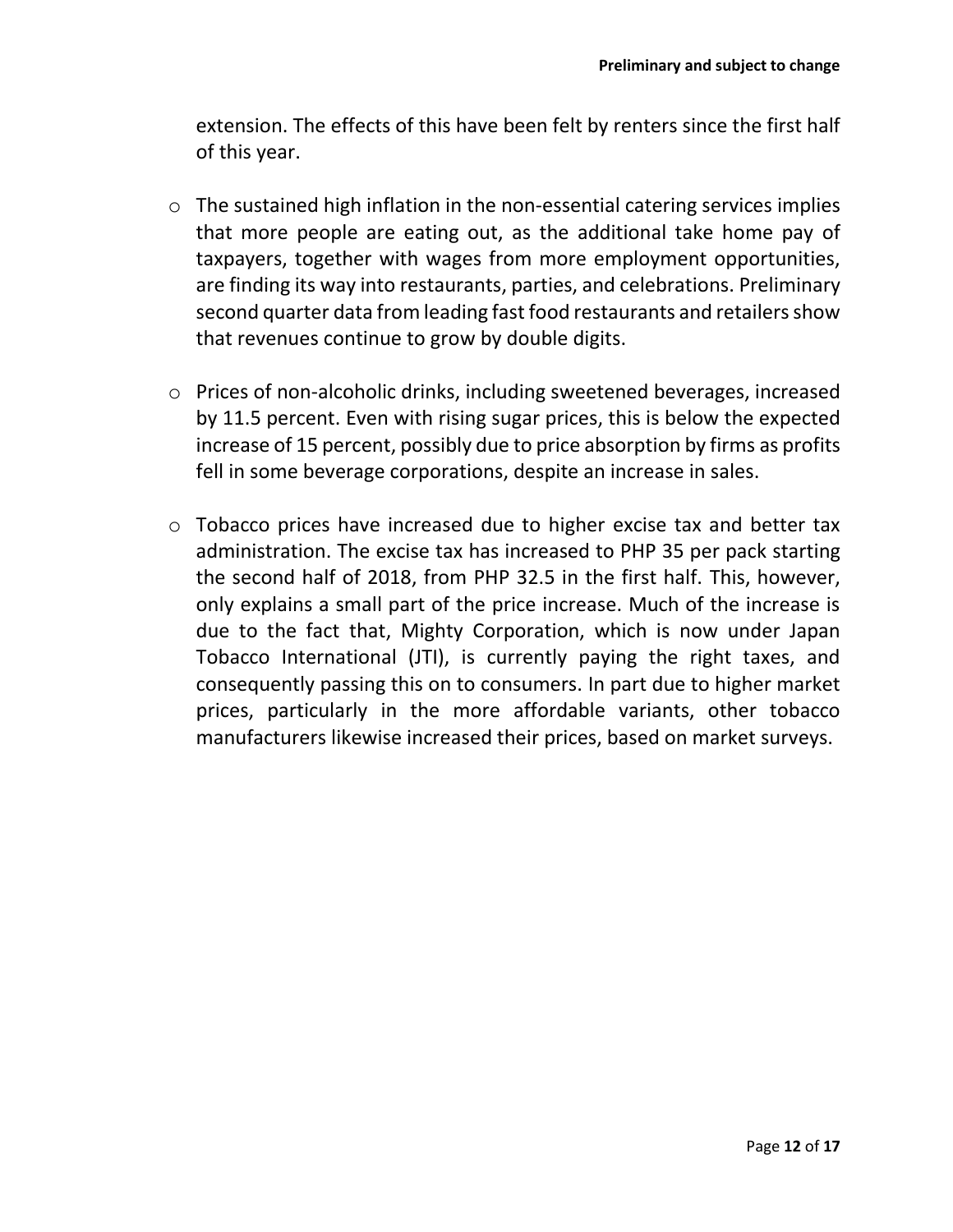extension. The effects of this have been felt by renters since the first half of this year.

- o The sustained high inflation in the non-essential catering services implies that more people are eating out, as the additional take home pay of taxpayers, together with wages from more employment opportunities, are finding its way into restaurants, parties, and celebrations. Preliminary second quarter data from leading fast food restaurants and retailers show that revenues continue to grow by double digits.
- o Prices of non-alcoholic drinks, including sweetened beverages, increased by 11.5 percent. Even with rising sugar prices, this is below the expected increase of 15 percent, possibly due to price absorption by firms as profits fell in some beverage corporations, despite an increase in sales.
- o Tobacco prices have increased due to higher excise tax and better tax administration. The excise tax has increased to PHP 35 per pack starting the second half of 2018, from PHP 32.5 in the first half. This, however, only explains a small part of the price increase. Much of the increase is due to the fact that, Mighty Corporation, which is now under Japan Tobacco International (JTI), is currently paying the right taxes, and consequently passing this on to consumers. In part due to higher market prices, particularly in the more affordable variants, other tobacco manufacturers likewise increased their prices, based on market surveys.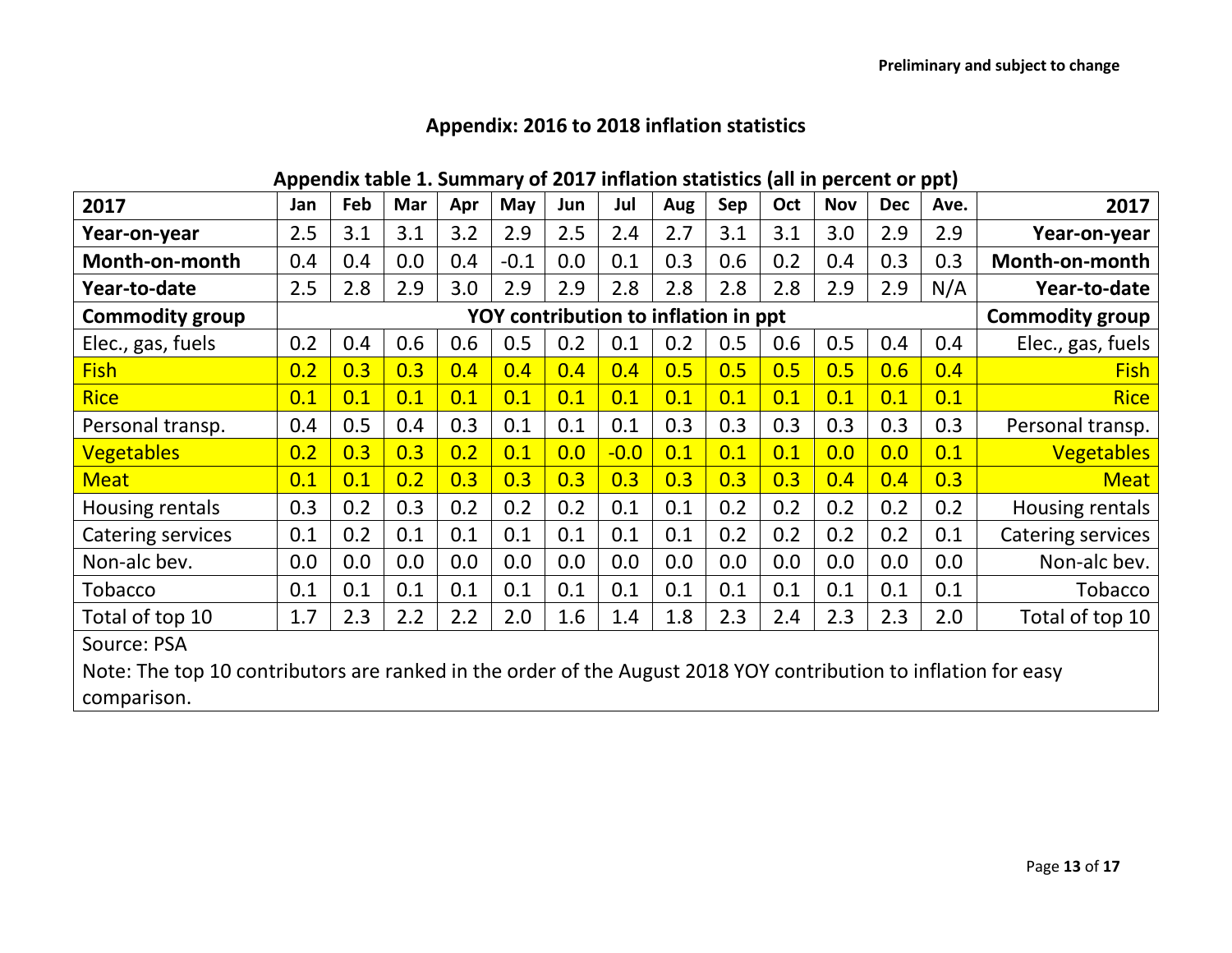| Appendix table 1. Summary of 2017 inflation statistics (all in percent or ppt) |  |  |  |  |  |  |
|--------------------------------------------------------------------------------|--|--|--|--|--|--|
|                                                                                |  |  |  |  |  |  |

| 2017                                                                                                            | Jan | Feb                                  | Mar | Apr | May    | Jun | Jul    | Aug | Sep | Oct | <b>Nov</b> | <b>Dec</b>             | Ave. | 2017              |
|-----------------------------------------------------------------------------------------------------------------|-----|--------------------------------------|-----|-----|--------|-----|--------|-----|-----|-----|------------|------------------------|------|-------------------|
| Year-on-year                                                                                                    | 2.5 | 3.1                                  | 3.1 | 3.2 | 2.9    | 2.5 | 2.4    | 2.7 | 3.1 | 3.1 | 3.0        | 2.9                    | 2.9  | Year-on-year      |
| Month-on-month                                                                                                  | 0.4 | 0.4                                  | 0.0 | 0.4 | $-0.1$ | 0.0 | 0.1    | 0.3 | 0.6 | 0.2 | 0.4        | 0.3                    | 0.3  | Month-on-month    |
| Year-to-date                                                                                                    | 2.5 | 2.8                                  | 2.9 | 3.0 | 2.9    | 2.9 | 2.8    | 2.8 | 2.8 | 2.8 | 2.9        | 2.9                    | N/A  | Year-to-date      |
| <b>Commodity group</b>                                                                                          |     | YOY contribution to inflation in ppt |     |     |        |     |        |     |     |     |            | <b>Commodity group</b> |      |                   |
| Elec., gas, fuels                                                                                               | 0.2 | 0.4                                  | 0.6 | 0.6 | 0.5    | 0.2 | 0.1    | 0.2 | 0.5 | 0.6 | 0.5        | 0.4                    | 0.4  | Elec., gas, fuels |
| <b>Fish</b>                                                                                                     | 0.2 | 0.3                                  | 0.3 | 0.4 | 0.4    | 0.4 | 0.4    | 0.5 | 0.5 | 0.5 | 0.5        | 0.6                    | 0.4  | <b>Fish</b>       |
| <b>Rice</b>                                                                                                     | 0.1 | 0.1                                  | 0.1 | 0.1 | 0.1    | 0.1 | 0.1    | 0.1 | 0.1 | 0.1 | 0.1        | 0.1                    | 0.1  | <b>Rice</b>       |
| Personal transp.                                                                                                | 0.4 | 0.5                                  | 0.4 | 0.3 | 0.1    | 0.1 | 0.1    | 0.3 | 0.3 | 0.3 | 0.3        | 0.3                    | 0.3  | Personal transp.  |
| <b>Vegetables</b>                                                                                               | 0.2 | 0.3                                  | 0.3 | 0.2 | 0.1    | 0.0 | $-0.0$ | 0.1 | 0.1 | 0.1 | 0.0        | 0.0                    | 0.1  | <b>Vegetables</b> |
| <b>Meat</b>                                                                                                     | 0.1 | 0.1                                  | 0.2 | 0.3 | 0.3    | 0.3 | 0.3    | 0.3 | 0.3 | 0.3 | 0.4        | 0.4                    | 0.3  | <b>Meat</b>       |
| Housing rentals                                                                                                 | 0.3 | 0.2                                  | 0.3 | 0.2 | 0.2    | 0.2 | 0.1    | 0.1 | 0.2 | 0.2 | 0.2        | 0.2                    | 0.2  | Housing rentals   |
| Catering services                                                                                               | 0.1 | 0.2                                  | 0.1 | 0.1 | 0.1    | 0.1 | 0.1    | 0.1 | 0.2 | 0.2 | 0.2        | 0.2                    | 0.1  | Catering services |
| Non-alc bev.                                                                                                    | 0.0 | 0.0                                  | 0.0 | 0.0 | 0.0    | 0.0 | 0.0    | 0.0 | 0.0 | 0.0 | 0.0        | 0.0                    | 0.0  | Non-alc bev.      |
| <b>Tobacco</b>                                                                                                  | 0.1 | 0.1                                  | 0.1 | 0.1 | 0.1    | 0.1 | 0.1    | 0.1 | 0.1 | 0.1 | 0.1        | 0.1                    | 0.1  | <b>Tobacco</b>    |
| Total of top 10                                                                                                 | 1.7 | 2.3                                  | 2.2 | 2.2 | 2.0    | 1.6 | 1.4    | 1.8 | 2.3 | 2.4 | 2.3        | 2.3                    | 2.0  | Total of top 10   |
| Source: PSA                                                                                                     |     |                                      |     |     |        |     |        |     |     |     |            |                        |      |                   |
| Note: The top 10 contributors are ranked in the order of the August 2018 YOY contribution to inflation for easy |     |                                      |     |     |        |     |        |     |     |     |            |                        |      |                   |
| comparison.                                                                                                     |     |                                      |     |     |        |     |        |     |     |     |            |                        |      |                   |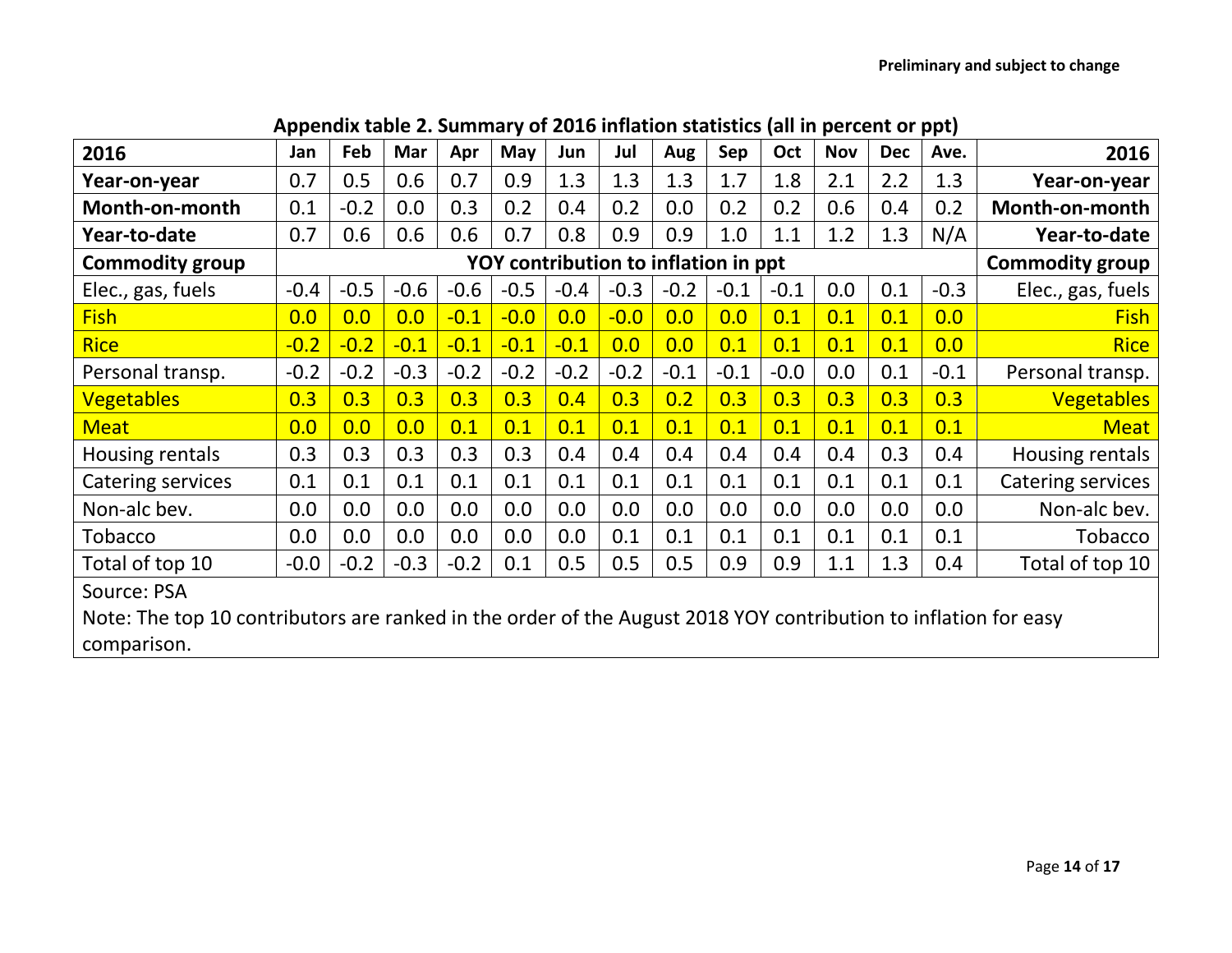| 2016                                                                                                            | Jan    | Feb                                  | Mar    | Apr    | May    | Jun    | Jul    | Aug    | Sep    | Oct    | <b>Nov</b> | <b>Dec</b> | Ave.                   | 2016              |
|-----------------------------------------------------------------------------------------------------------------|--------|--------------------------------------|--------|--------|--------|--------|--------|--------|--------|--------|------------|------------|------------------------|-------------------|
| Year-on-year                                                                                                    | 0.7    | 0.5                                  | 0.6    | 0.7    | 0.9    | 1.3    | 1.3    | 1.3    | 1.7    | 1.8    | 2.1        | 2.2        | 1.3                    | Year-on-year      |
| Month-on-month                                                                                                  | 0.1    | $-0.2$                               | 0.0    | 0.3    | 0.2    | 0.4    | 0.2    | 0.0    | 0.2    | 0.2    | 0.6        | 0.4        | 0.2                    | Month-on-month    |
| Year-to-date                                                                                                    | 0.7    | 0.6                                  | 0.6    | 0.6    | 0.7    | 0.8    | 0.9    | 0.9    | 1.0    | 1.1    | 1.2        | 1.3        | N/A                    | Year-to-date      |
| <b>Commodity group</b>                                                                                          |        | YOY contribution to inflation in ppt |        |        |        |        |        |        |        |        |            |            | <b>Commodity group</b> |                   |
| Elec., gas, fuels                                                                                               | $-0.4$ | $-0.5$                               | $-0.6$ | $-0.6$ | $-0.5$ | $-0.4$ | $-0.3$ | $-0.2$ | $-0.1$ | $-0.1$ | 0.0        | 0.1        | $-0.3$                 | Elec., gas, fuels |
| <b>Fish</b>                                                                                                     | 0.0    | 0.0                                  | 0.0    | $-0.1$ | $-0.0$ | 0.0    | $-0.0$ | 0.0    | 0.0    | 0.1    | 0.1        | 0.1        | 0.0                    | <b>Fish</b>       |
| <b>Rice</b>                                                                                                     | $-0.2$ | $-0.2$                               | $-0.1$ | $-0.1$ | $-0.1$ | $-0.1$ | 0.0    | 0.0    | 0.1    | 0.1    | 0.1        | 0.1        | 0.0                    | <b>Rice</b>       |
| Personal transp.                                                                                                | $-0.2$ | $-0.2$                               | $-0.3$ | $-0.2$ | $-0.2$ | $-0.2$ | $-0.2$ | $-0.1$ | $-0.1$ | $-0.0$ | 0.0        | 0.1        | $-0.1$                 | Personal transp.  |
| <b>Vegetables</b>                                                                                               | 0.3    | 0.3                                  | 0.3    | 0.3    | 0.3    | 0.4    | 0.3    | 0.2    | 0.3    | 0.3    | 0.3        | 0.3        | 0.3                    | <b>Vegetables</b> |
| <b>Meat</b>                                                                                                     | 0.0    | 0.0                                  | 0.0    | 0.1    | 0.1    | 0.1    | 0.1    | 0.1    | 0.1    | 0.1    | 0.1        | 0.1        | 0.1                    | <b>Meat</b>       |
| Housing rentals                                                                                                 | 0.3    | 0.3                                  | 0.3    | 0.3    | 0.3    | 0.4    | 0.4    | 0.4    | 0.4    | 0.4    | 0.4        | 0.3        | 0.4                    | Housing rentals   |
| Catering services                                                                                               | 0.1    | 0.1                                  | 0.1    | 0.1    | 0.1    | 0.1    | 0.1    | 0.1    | 0.1    | 0.1    | 0.1        | 0.1        | 0.1                    | Catering services |
| Non-alc bev.                                                                                                    | 0.0    | 0.0                                  | 0.0    | 0.0    | 0.0    | 0.0    | 0.0    | 0.0    | 0.0    | 0.0    | 0.0        | 0.0        | 0.0                    | Non-alc bev.      |
| Tobacco                                                                                                         | 0.0    | 0.0                                  | 0.0    | 0.0    | 0.0    | 0.0    | 0.1    | 0.1    | 0.1    | 0.1    | 0.1        | 0.1        | 0.1                    | <b>Tobacco</b>    |
| Total of top 10                                                                                                 | $-0.0$ | $-0.2$                               | $-0.3$ | $-0.2$ | 0.1    | 0.5    | 0.5    | 0.5    | 0.9    | 0.9    | 1.1        | 1.3        | 0.4                    | Total of top 10   |
| Source: PSA                                                                                                     |        |                                      |        |        |        |        |        |        |        |        |            |            |                        |                   |
| Note: The top 10 contributors are ranked in the order of the August 2018 YOY contribution to inflation for easy |        |                                      |        |        |        |        |        |        |        |        |            |            |                        |                   |
| comparison.                                                                                                     |        |                                      |        |        |        |        |        |        |        |        |            |            |                        |                   |

### **Appendix table 2. Summary of 2016 inflation statistics (all in percent or ppt)**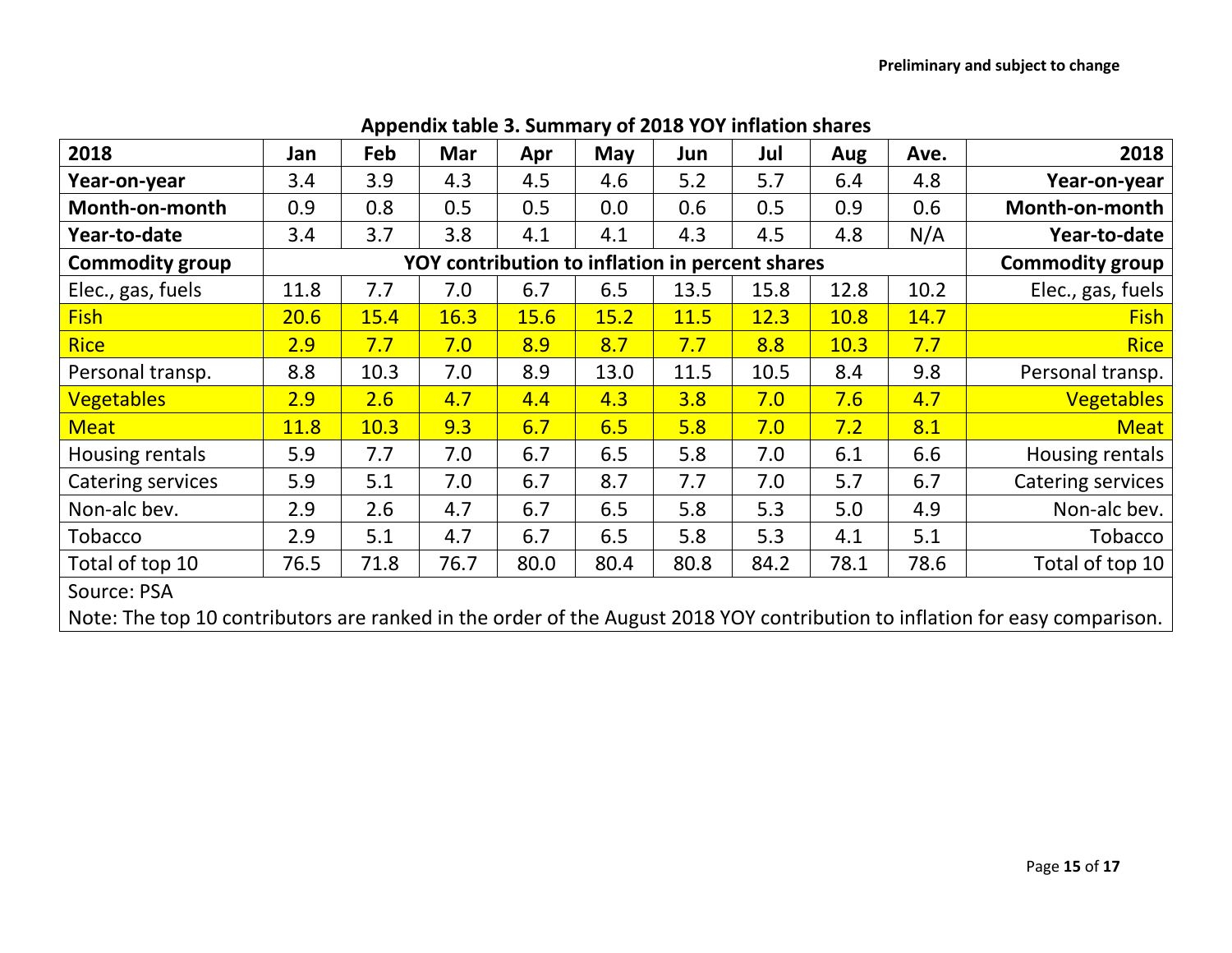| 2018                                                                                                                        | Jan  | Feb  | <b>Mar</b> | Apr  | May                                             | Jun  | Jul  | Aug  | Ave. | 2018                   |
|-----------------------------------------------------------------------------------------------------------------------------|------|------|------------|------|-------------------------------------------------|------|------|------|------|------------------------|
| Year-on-year                                                                                                                | 3.4  | 3.9  | 4.3        | 4.5  | 4.6                                             | 5.2  | 5.7  | 6.4  | 4.8  | Year-on-year           |
| Month-on-month                                                                                                              | 0.9  | 0.8  | 0.5        | 0.5  | 0.0                                             | 0.6  | 0.5  | 0.9  | 0.6  | Month-on-month         |
| Year-to-date                                                                                                                | 3.4  | 3.7  | 3.8        | 4.1  | 4.1                                             | 4.3  | 4.5  | 4.8  | N/A  | Year-to-date           |
| <b>Commodity group</b>                                                                                                      |      |      |            |      | YOY contribution to inflation in percent shares |      |      |      |      | <b>Commodity group</b> |
| Elec., gas, fuels                                                                                                           | 11.8 | 7.7  | 7.0        | 6.7  | 6.5                                             | 13.5 | 15.8 | 12.8 | 10.2 | Elec., gas, fuels      |
| <b>Fish</b>                                                                                                                 | 20.6 | 15.4 | 16.3       | 15.6 | 15.2                                            | 11.5 | 12.3 | 10.8 | 14.7 | <b>Fish</b>            |
| <b>Rice</b>                                                                                                                 | 2.9  | 7.7  | 7.0        | 8.9  | 8.7                                             | 7.7  | 8.8  | 10.3 | 7.7  | <b>Rice</b>            |
| Personal transp.                                                                                                            | 8.8  | 10.3 | 7.0        | 8.9  | 13.0                                            | 11.5 | 10.5 | 8.4  | 9.8  | Personal transp.       |
| <b>Vegetables</b>                                                                                                           | 2.9  | 2.6  | 4.7        | 4.4  | 4.3                                             | 3.8  | 7.0  | 7.6  | 4.7  | <b>Vegetables</b>      |
| <b>Meat</b>                                                                                                                 | 11.8 | 10.3 | 9.3        | 6.7  | 6.5                                             | 5.8  | 7.0  | 7.2  | 8.1  | <b>Meat</b>            |
| Housing rentals                                                                                                             | 5.9  | 7.7  | 7.0        | 6.7  | 6.5                                             | 5.8  | 7.0  | 6.1  | 6.6  | Housing rentals        |
| Catering services                                                                                                           | 5.9  | 5.1  | 7.0        | 6.7  | 8.7                                             | 7.7  | 7.0  | 5.7  | 6.7  | Catering services      |
| Non-alc bev.                                                                                                                | 2.9  | 2.6  | 4.7        | 6.7  | 6.5                                             | 5.8  | 5.3  | 5.0  | 4.9  | Non-alc bev.           |
| Tobacco                                                                                                                     | 2.9  | 5.1  | 4.7        | 6.7  | 6.5                                             | 5.8  | 5.3  | 4.1  | 5.1  | Tobacco                |
| Total of top 10                                                                                                             | 76.5 | 71.8 | 76.7       | 80.0 | 80.4                                            | 80.8 | 84.2 | 78.1 | 78.6 | Total of top 10        |
| Source: PSA                                                                                                                 |      |      |            |      |                                                 |      |      |      |      |                        |
| Note: The top 10 contributors are ranked in the order of the August 2018 YOY contribution to inflation for easy comparison. |      |      |            |      |                                                 |      |      |      |      |                        |

# **Appendix table 3. Summary of 2018 YOY inflation shares**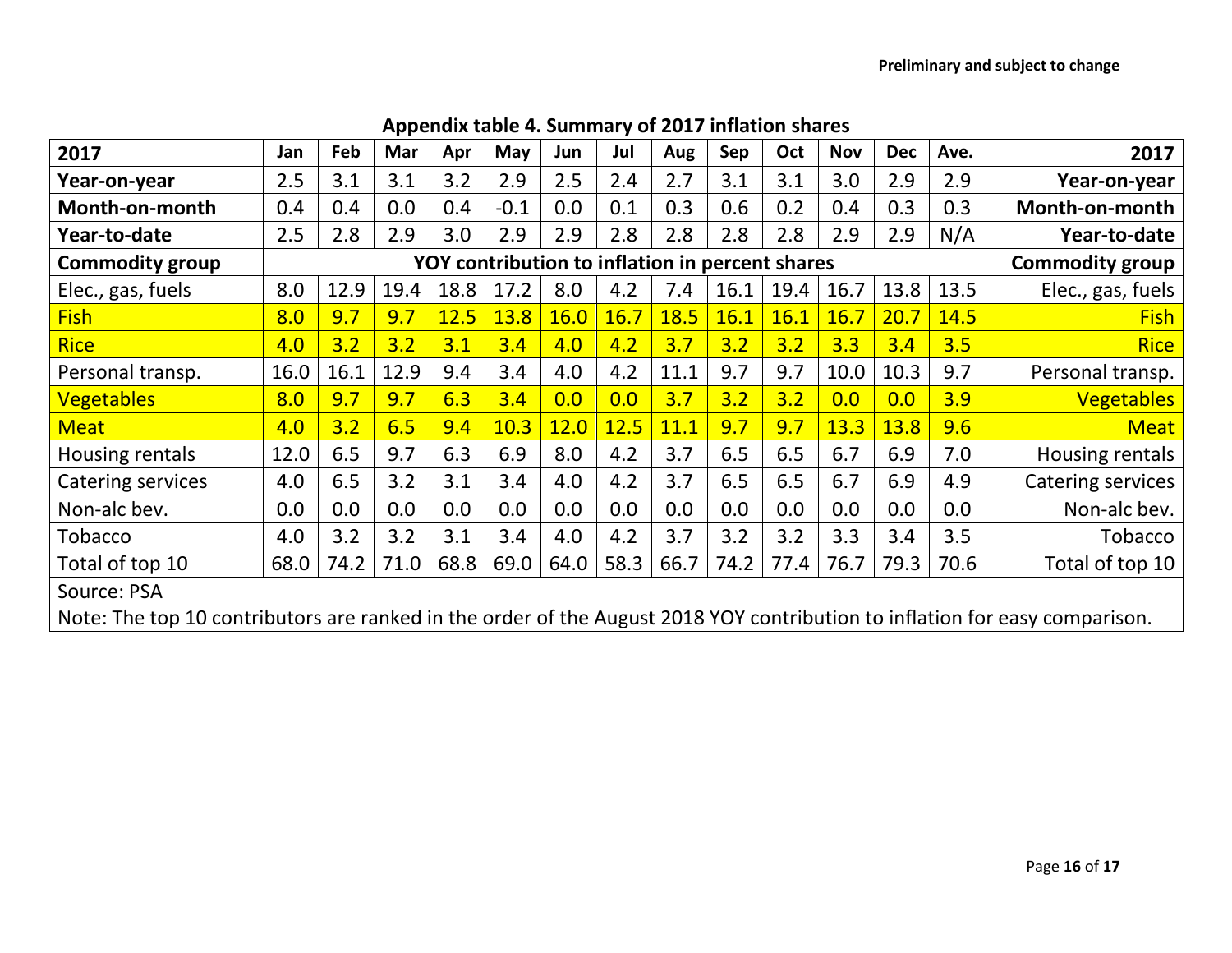| 2017                                                                                                                        | Jan                                             | Feb  | Mar  | Apr  | May    | Jun  | Jul  | Aug  | Sep  | Oct  | <b>Nov</b> | <b>Dec</b> | Ave.                   | 2017              |
|-----------------------------------------------------------------------------------------------------------------------------|-------------------------------------------------|------|------|------|--------|------|------|------|------|------|------------|------------|------------------------|-------------------|
| Year-on-year                                                                                                                | 2.5                                             | 3.1  | 3.1  | 3.2  | 2.9    | 2.5  | 2.4  | 2.7  | 3.1  | 3.1  | 3.0        | 2.9        | 2.9                    | Year-on-year      |
| Month-on-month                                                                                                              | 0.4                                             | 0.4  | 0.0  | 0.4  | $-0.1$ | 0.0  | 0.1  | 0.3  | 0.6  | 0.2  | 0.4        | 0.3        | 0.3                    | Month-on-month    |
| Year-to-date                                                                                                                | 2.5                                             | 2.8  | 2.9  | 3.0  | 2.9    | 2.9  | 2.8  | 2.8  | 2.8  | 2.8  | 2.9        | 2.9        | N/A                    | Year-to-date      |
| <b>Commodity group</b>                                                                                                      | YOY contribution to inflation in percent shares |      |      |      |        |      |      |      |      |      |            |            | <b>Commodity group</b> |                   |
| Elec., gas, fuels                                                                                                           | 8.0                                             | 12.9 | 19.4 | 18.8 | 17.2   | 8.0  | 4.2  | 7.4  | 16.1 | 19.4 | 16.7       | 13.8       | 13.5                   | Elec., gas, fuels |
| <b>Fish</b>                                                                                                                 | 8.0                                             | 9.7  | 9.7  | 12.5 | 13.8   | 16.0 | 16.7 | 18.5 | 16.1 | 16.1 | 16.7       | 20.7       | 14.5                   | <b>Fish</b>       |
| <b>Rice</b>                                                                                                                 | 4.0                                             | 3.2  | 3.2  | 3.1  | 3.4    | 4.0  | 4.2  | 3.7  | 3.2  | 3.2  | 3.3        | 3.4        | 3.5                    | <b>Rice</b>       |
| Personal transp.                                                                                                            | 16.0                                            | 16.1 | 12.9 | 9.4  | 3.4    | 4.0  | 4.2  | 11.1 | 9.7  | 9.7  | 10.0       | 10.3       | 9.7                    | Personal transp.  |
| <b>Vegetables</b>                                                                                                           | 8.0                                             | 9.7  | 9.7  | 6.3  | 3.4    | 0.0  | 0.0  | 3.7  | 3.2  | 3.2  | 0.0        | 0.0        | 3.9                    | <b>Vegetables</b> |
| <b>Meat</b>                                                                                                                 | 4.0                                             | 3.2  | 6.5  | 9.4  | 10.3   | 12.0 | 12.5 | 11.1 | 9.7  | 9.7  | 13.3       | 13.8       | 9.6                    | <b>Meat</b>       |
| Housing rentals                                                                                                             | 12.0                                            | 6.5  | 9.7  | 6.3  | 6.9    | 8.0  | 4.2  | 3.7  | 6.5  | 6.5  | 6.7        | 6.9        | 7.0                    | Housing rentals   |
| <b>Catering services</b>                                                                                                    | 4.0                                             | 6.5  | 3.2  | 3.1  | 3.4    | 4.0  | 4.2  | 3.7  | 6.5  | 6.5  | 6.7        | 6.9        | 4.9                    | Catering services |
| Non-alc bev.                                                                                                                | 0.0                                             | 0.0  | 0.0  | 0.0  | 0.0    | 0.0  | 0.0  | 0.0  | 0.0  | 0.0  | 0.0        | 0.0        | 0.0                    | Non-alc bev.      |
| Tobacco                                                                                                                     | 4.0                                             | 3.2  | 3.2  | 3.1  | 3.4    | 4.0  | 4.2  | 3.7  | 3.2  | 3.2  | 3.3        | 3.4        | 3.5                    | <b>Tobacco</b>    |
| Total of top 10                                                                                                             | 68.0                                            | 74.2 | 71.0 | 68.8 | 69.0   | 64.0 | 58.3 | 66.7 | 74.2 | 77.4 | 76.7       | 79.3       | 70.6                   | Total of top 10   |
| Source: PSA                                                                                                                 |                                                 |      |      |      |        |      |      |      |      |      |            |            |                        |                   |
| Note: The top 10 contributors are ranked in the order of the August 2018 YOY contribution to inflation for easy comparison. |                                                 |      |      |      |        |      |      |      |      |      |            |            |                        |                   |

## **Appendix table 4. Summary of 2017 inflation shares**